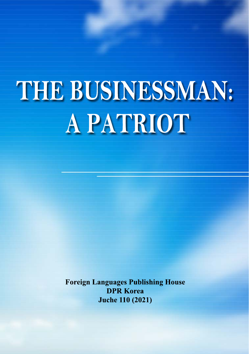# THE BUSINESSMAN: **A PATRIOT**

**Foreign Languages Publishing House DPR Korea Juche 110 (2021)**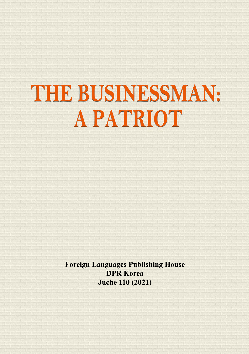# THE BUSINESSMAN: **A PATRIOT**

**Foreign Languages Publishing House DPR Korea Juche 110 (2021)**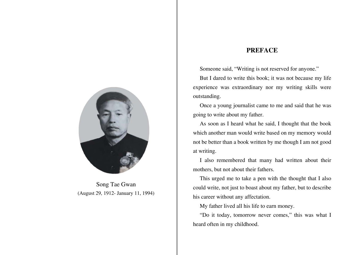Song Tae Gwan (August 29, 1912- January 11, 1994)

# **Preface**

Someone said, "Writing is not reserved for anyone."

But I dared to write this book; it was not because my life experience was extraordinary nor my writing skills were outstanding.

Once a young journalist came to me and said that he was going to write about my father.

As soon as I heard what he said, I thought that the book which another man would write based on my memory would not be better than a book written by me though I am not good at writing.

I also remembered that many had written about their mothers, but not about their fathers.

This urged me to take a pen with the thought that I also could write, not just to boast about my father, but to describe his career without any affectation.

My father lived all his life to earn money.

"Do it today, tomorrow never comes," this was what I heard often in my childhood.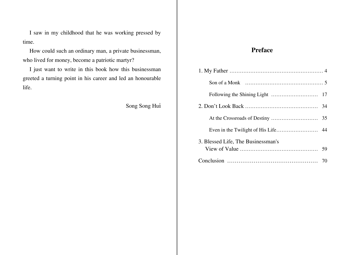<span id="page-3-0"></span>I saw in my childhood that he was working pressed by time.

How could such an ordinary man, a private businessman, who lived for money, become a patriotic martyr?

I just want to write in this book how this businessman greeted a turning point in his career and led an honourable life.

Song Song Hui

# **Preface**

| 3. Blessed Life, The Businessman's |  |
|------------------------------------|--|
|                                    |  |
|                                    |  |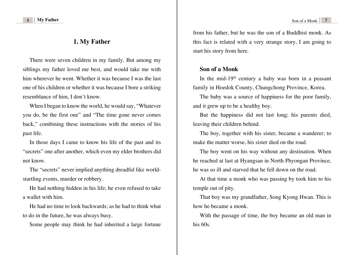<span id="page-4-0"></span>

## **[1. My Father](#page-3-0)**

There were seven children in my family. But among my siblings my father loved me best, and would take me with him wherever he went. Whether it was because I was the last one of his children or whether it was because I bore a striking resemblance of him, I don't know.

When I began to know the world, he would say, "Whatever you do, be the first one" and "The time gone never comes back," combining these instructions with the stories of his past life.

In those days I came to know his life of the past and its "secrets" one after another, which even my elder brothers did not know.

The "secrets" never implied anything dreadful like worldstartling events, murder or robbery.

He had nothing hidden in his life; he even refused to take a wallet with him.

He had no time to look backwards; as he had to think what to do in the future, he was always busy.

Some people may think he had inherited a large fortune

from his father, but he was the son of a Buddhist monk. As this fact is related with a very strange story, I am going to start his story from here.

### **[Son of a Monk](#page-3-0)**

In the mid-19<sup>th</sup> century a baby was born in a peasant family in Hoedok County, Chungchong Province, Korea.

The baby was a source of happiness for the poor family, and it grew up to be a healthy boy.

But the happiness did not last long; his parents died, leaving their children behind.

The boy, together with his sister, became a wanderer; to make the matter worse, his sister died on the road.

The boy went on his way without any destination. When he reached at last at Hyangsan in North Phyongan Province, he was so ill and starved that he fell down on the road.

At that time a monk who was passing by took him to his temple out of pity.

That boy was my grandfather, Song Kyong Hwan. This is how he became a monk.

With the passage of time, the boy became an old man in his 60s.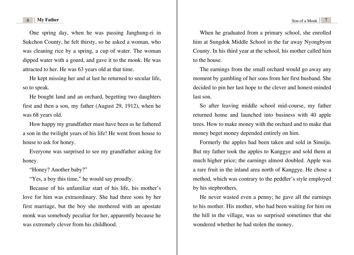One spring day, when he was passing Janghung-ri in Sukchon County, he felt thirsty, so he asked a woman, who was cleaning rice by a spring, a cup of water. The woman dipped water with a gourd, and gave it to the monk. He was attracted to her. He was 63 years old at that time.

He kept missing her and at last he returned to secular life, so to speak.

He bought land and an orchard, begetting two daughters first and then a son, my father (August 29, 1912), when he was 68 years old.

How happy my grandfather must have been as he fathered a son in the twilight years of his life! He went from house to house to ask for honey.

Everyone was surprised to see my grandfather asking for honey.

"Honey? Another baby?"

"Yes, a boy this time," he would say proudly.

Because of his unfamiliar start of his life, his mother's love for him was extraordinary. She had three sons by her first marriage, but the boy she mothered with an apostate monk was somebody peculiar for her, apparently because he was extremely clever from his childhood.

When he graduated from a primary school, she enrolled him at Sungdok Middle School in the far away Nyongbyon County. In his third year at the school, his mother called him to the house.

The earnings from the small orchard would go away any moment by gambling of her sons from her first husband. She decided to pin her last hope to the clever and honest-minded last son.

So after leaving middle school mid-course, my father returned home and launched into business with 40 apple trees. How to make money with the orchard and to make that money beget money depended entirely on him.

Formerly the apples had been taken and sold in Sinuiju. But my father took the apples to Kanggye and sold them at much higher price; the earnings almost doubled. Apple was a rare fruit in the inland area north of Kanggye. He chose a method, which was contrary to the peddler's style employed by his stepbrothers.

He never wasted even a penny; he gave all the earnings to his mother. His mother, who had been waiting for him on the hill in the village, was so surprised sometimes that she wondered whether he had stolen the money.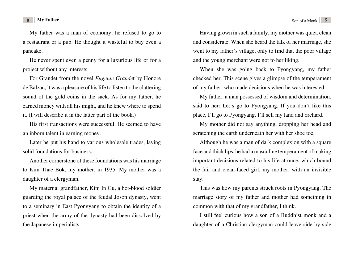My father was a man of economy; he refused to go to a restaurant or a pub. He thought it wasteful to buy even a pancake.

He never spent even a penny for a luxurious life or for a project without any interests.

For Grandet from the novel *Eugenie Grande*t by Honore de Balzac, it was a pleasure of his life to listen to the clattering sound of the gold coins in the sack. As for my father, he earned money with all his might, and he knew where to spend it. (I will describe it in the latter part of the book.)

His first transactions were successful. He seemed to have an inborn talent in earning money.

Later he put his hand to various wholesale trades, laying solid foundations for business.

Another cornerstone of these foundations was his marriage to Kim Thae Bok, my mother, in 1935. My mother was a daughter of a clergyman.

My maternal grandfather, Kim In Gu, a hot-blood soldier guarding the royal palace of the feudal Joson dynasty, went to a seminary in East Pyongyang to obtain the identity of a priest when the army of the dynasty had been dissolved by the Japanese imperialists.

Having grown in such a family, my mother was quiet, clean and considerate. When she heard the talk of her marriage, she went to my father's village, only to find that the poor village and the young merchant were not to her liking.

When she was going back to Pyongyang, my father checked her. This scene gives a glimpse of the temperament of my father, who made decisions when he was interested.

My father, a man possessed of wisdom and determination, said to her: Let's go to Pyongyang. If you don't like this place, I'll go to Pyongyang. I'll sell my land and orchard.

My mother did not say anything, dropping her head and scratching the earth underneath her with her shoe toe.

Although he was a man of dark complexion with a square face and thick lips, he had a masculine temperament of making important decisions related to his life at once, which bound the fair and clean-faced girl, my mother, with an invisible stay.

This was how my parents struck roots in Pyongyang. The marriage story of my father and mother had something in common with that of my grandfather, I think.

I still feel curious how a son of a Buddhist monk and a daughter of a Christian clergyman could leave side by side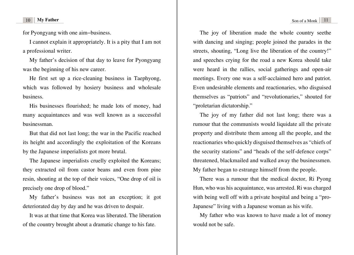for Pyongyang with one aim−business.

I cannot explain it appropriately. It is a pity that I am not a professional writer.

My father's decision of that day to leave for Pyongyang was the beginning of his new career.

He first set up a rice-cleaning business in Taephyong, which was followed by hosiery business and wholesale business.

His businesses flourished; he made lots of money, had many acquaintances and was well known as a successful businessman.

But that did not last long; the war in the Pacific reached its height and accordingly the exploitation of the Koreans by the Japanese imperialists got more brutal.

The Japanese imperialists cruelly exploited the Koreans; they extracted oil from castor beans and even from pine resin, shouting at the top of their voices, "One drop of oil is precisely one drop of blood."

My father's business was not an exception; it got deteriorated day by day and he was driven to despair.

It was at that time that Korea was liberated. The liberation of the country brought about a dramatic change to his fate.

The joy of liberation made the whole country seethe with dancing and singing; people joined the parades in the streets, shouting, "Long live the liberation of the country!" and speeches crying for the road a new Korea should take were heard in the rallies, social gatherings and open-air meetings. Every one was a self-acclaimed hero and patriot. Even undesirable elements and reactionaries, who disguised themselves as "patriots" and "revolutionaries," shouted for "proletarian dictatorship."

The joy of my father did not last long; there was a rumour that the communists would liquidate all the private property and distribute them among all the people, and the reactionaries who quickly disguised themselves as "chiefs of the security stations" and "heads of the self-defence corps" threatened, blackmailed and walked away the businessmen. My father began to estrange himself from the people.

There was a rumour that the medical doctor, Ri Pyong Hun, who was his acquaintance, was arrested. Ri was charged with being well off with a private hospital and being a "pro-Japanese" living with a Japanese woman as his wife.

My father who was known to have made a lot of money would not be safe.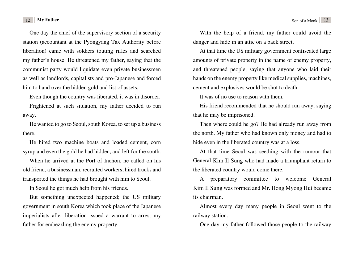One day the chief of the supervisory section of a security station (accountant at the Pyongyang Tax Authority before liberation) came with soldiers touting rifles and searched my father's house. He threatened my father, saying that the communist party would liquidate even private businessmen as well as landlords, capitalists and pro-Japanese and forced him to hand over the hidden gold and list of assets.

Even though the country was liberated, it was in disorder. Frightened at such situation, my father decided to run away.

He wanted to go to Seoul, south Korea, to set up a business there.

He hired two machine boats and loaded cement, corn syrup and even the gold he had hidden, and left for the south.

When he arrived at the Port of Inchon, he called on his old friend, a businessman, recruited workers, hired trucks and transported the things he had brought with him to Seoul.

In Seoul he got much help from his friends.

But something unexpected happened; the US military government in south Korea which took place of the Japanese imperialists after liberation issued a warrant to arrest my father for embezzling the enemy property.

With the help of a friend, my father could avoid the danger and hide in an attic on a back street.

At that time the US military government confiscated large amounts of private property in the name of enemy property, and threatened people, saying that anyone who laid their hands on the enemy property like medical supplies, machines, cement and explosives would be shot to death.

It was of no use to reason with them.

His friend recommended that he should run away, saying that he may be imprisoned.

Then where could he go? He had already run away from the north. My father who had known only money and had to hide even in the liberated country was at a loss.

At that time Seoul was seething with the rumour that General Kim Il Sung who had made a triumphant return to the liberated country would come there.

A preparatory committee to welcome General Kim Il Sung was formed and Mr. Hong Myong Hui became its chairman.

Almost every day many people in Seoul went to the railway station.

One day my father followed those people to the railway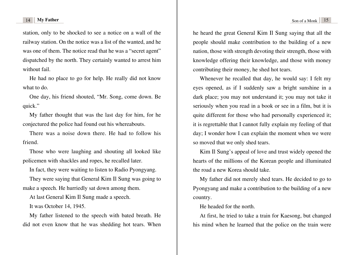station, only to be shocked to see a notice on a wall of the railway station. On the notice was a list of the wanted, and he was one of them. The notice read that he was a "secret agent" dispatched by the north. They certainly wanted to arrest him without fail

He had no place to go for help. He really did not know what to do.

One day, his friend shouted, "Mr. Song, come down. Be quick."

My father thought that was the last day for him, for he conjectured the police had found out his whereabouts.

There was a noise down there. He had to follow his friend.

Those who were laughing and shouting all looked like policemen with shackles and ropes, he recalled later.

In fact, they were waiting to listen to Radio Pyongyang.

They were saying that General Kim Il Sung was going to make a speech. He hurriedly sat down among them.

At last General Kim Il Sung made a speech.

It was October 14, 1945.

My father listened to the speech with bated breath. He did not even know that he was shedding hot tears. When he heard the great General Kim Il Sung saying that all the people should make contribution to the building of a new nation, those with strength devoting their strength, those with knowledge offering their knowledge, and those with money contributing their money, he shed hot tears.

Whenever he recalled that day, he would say: I felt my eyes opened, as if I suddenly saw a bright sunshine in a dark place; you may not understand it; you may not take it seriously when you read in a book or see in a film, but it is quite different for those who had personally experienced it; it is regrettable that I cannot fully explain my feeling of that day; I wonder how I can explain the moment when we were so moved that we only shed tears.

Kim Il Sung's appeal of love and trust widely opened the hearts of the millions of the Korean people and illuminated the road a new Korea should take.

My father did not merely shed tears. He decided to go to Pyongyang and make a contribution to the building of a new country.

He headed for the north.

At first, he tried to take a train for Kaesong, but changed his mind when he learned that the police on the train were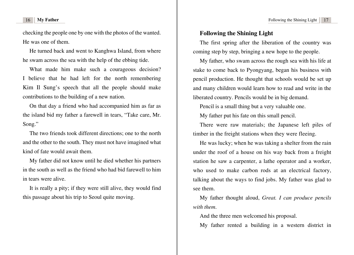<span id="page-10-0"></span>checking the people one by one with the photos of the wanted. He was one of them.

He turned back and went to Kanghwa Island, from where he swam across the sea with the help of the ebbing tide.

What made him make such a courageous decision? I believe that he had left for the north remembering Kim Il Sung's speech that all the people should make contributions to the building of a new nation.

On that day a friend who had accompanied him as far as the island bid my father a farewell in tears, "Take care, Mr. Song."

The two friends took different directions; one to the north and the other to the south. They must not have imagined what kind of fate would await them.

My father did not know until he died whether his partners in the south as well as the friend who had bid farewell to him in tears were alive.

It is really a pity; if they were still alive, they would find this passage about his trip to Seoul quite moving.

### **[Following the Shining Light](#page-3-0)**

The first spring after the liberation of the country was coming step by step, bringing a new hope to the people.

My father, who swam across the rough sea with his life at stake to come back to Pyongyang, began his business with pencil production. He thought that schools would be set up and many children would learn how to read and write in the liberated country. Pencils would be in big demand.

Pencil is a small thing but a very valuable one.

My father put his fate on this small pencil.

There were raw materials; the Japanese left piles of timber in the freight stations when they were fleeing.

He was lucky; when he was taking a shelter from the rain under the roof of a house on his way back from a freight station he saw a carpenter, a lathe operator and a worker, who used to make carbon rods at an electrical factory, talking about the ways to find jobs. My father was glad to see them.

My father thought aloud, *Great. I can produce pencils with them*.

And the three men welcomed his proposal.

My father rented a building in a western district in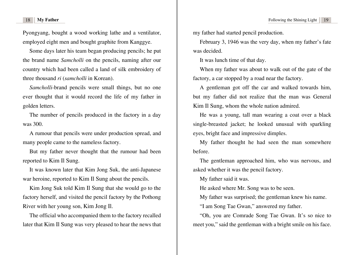Pyongyang, bought a wood working lathe and a ventilator, employed eight men and bought graphite from Kanggye.

Some days later his team began producing pencils; he put the brand name *Samcholli* on the pencils, naming after our country which had been called a land of silk embroidery of three thousand *ri* (*samcholli* in Korean).

*Samcholli*-brand pencils were small things, but no one ever thought that it would record the life of my father in golden letters.

The number of pencils produced in the factory in a day was 300.

A rumour that pencils were under production spread, and many people came to the nameless factory.

But my father never thought that the rumour had been reported to Kim Il Sung.

It was known later that Kim Jong Suk, the anti-Japanese war heroine, reported to Kim Il Sung about the pencils.

Kim Jong Suk told Kim Il Sung that she would go to the factory herself, and visited the pencil factory by the Pothong River with her young son, Kim Jong Il.

The official who accompanied them to the factory recalled later that Kim Il Sung was very pleased to hear the news that my father had started pencil production.

February 3, 1946 was the very day, when my father's fate was decided.

It was lunch time of that day.

When my father was about to walk out of the gate of the factory, a car stopped by a road near the factory.

A gentleman got off the car and walked towards him, but my father did not realize that the man was General Kim Il Sung, whom the whole nation admired.

He was a young, tall man wearing a coat over a black single-breasted jacket; he looked unusual with sparkling eyes, bright face and impressive dimples.

My father thought he had seen the man somewhere before.

The gentleman approached him, who was nervous, and asked whether it was the pencil factory.

My father said it was.

He asked where Mr. Song was to be seen.

My father was surprised; the gentleman knew his name.

"I am Song Tae Gwan," answered my father.

"Oh, you are Comrade Song Tae Gwan. It's so nice to meet you," said the gentleman with a bright smile on his face.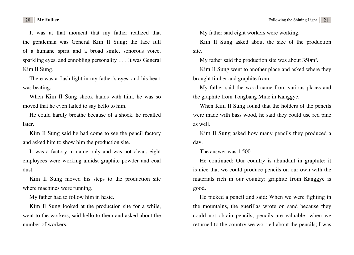It was at that moment that my father realized that the gentleman was General Kim Il Sung; the face full of a humane spirit and a broad smile, sonorous voice, sparkling eyes, and ennobling personality … . It was General Kim Il Sung.

There was a flash light in my father's eyes, and his heart was beating.

When Kim Il Sung shook hands with him, he was so moved that he even failed to say hello to him.

He could hardly breathe because of a shock, he recalled later.

Kim Il Sung said he had come to see the pencil factory and asked him to show him the production site.

It was a factory in name only and was not clean: eight employees were working amidst graphite powder and coal dust.

Kim Il Sung moved his steps to the production site where machines were running.

My father had to follow him in haste.

Kim Il Sung looked at the production site for a while, went to the workers, said hello to them and asked about the number of workers.

My father said eight workers were working.

Kim Il Sung asked about the size of the production site.

My father said the production site was about 350m<sup>2</sup>.

Kim Il Sung went to another place and asked where they brought timber and graphite from.

My father said the wood came from various places and the graphite from Tongbang Mine in Kanggye.

When Kim Il Sung found that the holders of the pencils were made with bass wood, he said they could use red pine as well.

Kim Il Sung asked how many pencils they produced a day.

The answer was 1 500.

He continued: Our country is abundant in graphite; it is nice that we could produce pencils on our own with the materials rich in our country; graphite from Kanggye is good.

He picked a pencil and said: When we were fighting in the mountains, the guerillas wrote on sand because they could not obtain pencils; pencils are valuable; when we returned to the country we worried about the pencils; I was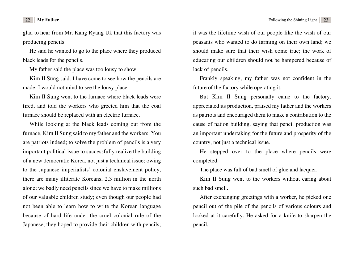glad to hear from Mr. Kang Ryang Uk that this factory was producing pencils.

He said he wanted to go to the place where they produced black leads for the pencils.

My father said the place was too lousy to show.

Kim Il Sung said: I have come to see how the pencils are made; I would not mind to see the lousy place.

Kim Il Sung went to the furnace where black leads were fired, and told the workers who greeted him that the coal furnace should be replaced with an electric furnace.

While looking at the black leads coming out from the furnace, Kim Il Sung said to my father and the workers: You are patriots indeed; to solve the problem of pencils is a very important political issue to successfully realize the building of a new democratic Korea, not just a technical issue; owing to the Japanese imperialists' colonial enslavement policy, there are many illiterate Koreans, 2.3 million in the north alone; we badly need pencils since we have to make millions of our valuable children study; even though our people had not been able to learn how to write the Korean language because of hard life under the cruel colonial rule of the Japanese, they hoped to provide their children with pencils;

it was the lifetime wish of our people like the wish of our peasants who wanted to do farming on their own land; we should make sure that their wish come true; the work of educating our children should not be hampered because of lack of pencils.

Frankly speaking, my father was not confident in the future of the factory while operating it.

But Kim Il Sung personally came to the factory, appreciated its production, praised my father and the workers as patriots and encouraged them to make a contribution to the cause of nation building, saying that pencil production was an important undertaking for the future and prosperity of the country, not just a technical issue.

He stepped over to the place where pencils were completed.

The place was full of bad smell of glue and lacquer.

Kim Il Sung went to the workers without caring about such bad smell.

After exchanging greetings with a worker, he picked one pencil out of the pile of the pencils of various colours and looked at it carefully. He asked for a knife to sharpen the pencil.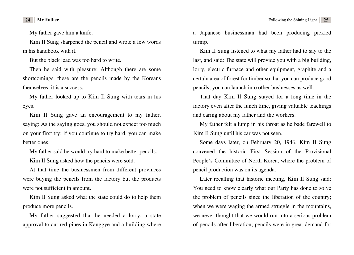My father gave him a knife.

Kim Il Sung sharpened the pencil and wrote a few words in his handbook with it.

But the black lead was too hard to write.

Then he said with pleasure: Although there are some shortcomings, these are the pencils made by the Koreans themselves; it is a success.

My father looked up to Kim Il Sung with tears in his eyes.

Kim Il Sung gave an encouragement to my father, saying: As the saying goes, you should not expect too much on your first try; if you continue to try hard, you can make better ones.

My father said he would try hard to make better pencils.

Kim Il Sung asked how the pencils were sold.

At that time the businessmen from different provinces were buying the pencils from the factory but the products were not sufficient in amount.

Kim Il Sung asked what the state could do to help them produce more pencils.

My father suggested that he needed a lorry, a state approval to cut red pines in Kanggye and a building where a Japanese businessman had been producing pickled turnip.

Kim Il Sung listened to what my father had to say to the last, and said: The state will provide you with a big building, lorry, electric furnace and other equipment, graphite and a certain area of forest for timber so that you can produce good pencils; you can launch into other businesses as well.

That day Kim Il Sung stayed for a long time in the factory even after the lunch time, giving valuable teachings and caring about my father and the workers.

My father felt a lump in his throat as he bade farewell to Kim Il Sung until his car was not seen.

Some days later, on February 20, 1946, Kim Il Sung convened the historic First Session of the Provisional People's Committee of North Korea, where the problem of pencil production was on its agenda.

Later recalling that historic meeting, Kim Il Sung said: You need to know clearly what our Party has done to solve the problem of pencils since the liberation of the country; when we were waging the armed struggle in the mountains, we never thought that we would run into a serious problem of pencils after liberation; pencils were in great demand for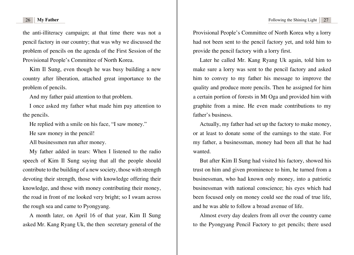the anti-illiteracy campaign; at that time there was not a pencil factory in our country; that was why we discussed the problem of pencils on the agenda of the First Session of the Provisional People's Committee of North Korea.

Kim Il Sung, even though he was busy building a new country after liberation, attached great importance to the problem of pencils.

And my father paid attention to that problem.

I once asked my father what made him pay attention to the pencils.

He replied with a smile on his face, "I saw money."

He saw money in the pencil!

All businessmen run after money.

My father added in tears: When I listened to the radio speech of Kim Il Sung saying that all the people should contribute to the building of a new society, those with strength devoting their strength, those with knowledge offering their knowledge, and those with money contributing their money, the road in front of me looked very bright; so I swam across the rough sea and came to Pyongyang.

A month later, on April 16 of that year, Kim Il Sung asked Mr. Kang Ryang Uk, the then secretary general of the Provisional People's Committee of North Korea why a lorry had not been sent to the pencil factory yet, and told him to provide the pencil factory with a lorry first.

Later he called Mr. Kang Ryang Uk again, told him to make sure a lorry was sent to the pencil factory and asked him to convey to my father his message to improve the quality and produce more pencils. Then he assigned for him a certain portion of forests in Mt Oga and provided him with graphite from a mine. He even made contributions to my father's business.

Actually, my father had set up the factory to make money, or at least to donate some of the earnings to the state. For my father, a businessman, money had been all that he had wanted.

But after Kim Il Sung had visited his factory, showed his trust on him and given prominence to him, he turned from a businessman, who had known only money, into a patriotic businessman with national conscience; his eyes which had been focused only on money could see the road of true life, and he was able to follow a broad avenue of life.

Almost every day dealers from all over the country came to the Pyongyang Pencil Factory to get pencils; there used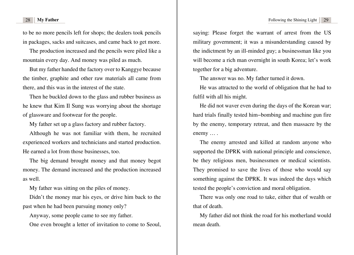to be no more pencils left for shops; the dealers took pencils in packages, sacks and suitcases, and came back to get more.

The production increased and the pencils were piled like a mountain every day. And money was piled as much.

But my father handed the factory over to Kanggye because the timber, graphite and other raw materials all came from there, and this was in the interest of the state.

Then he buckled down to the glass and rubber business as he knew that Kim Il Sung was worrying about the shortage of glassware and footwear for the people.

My father set up a glass factory and rubber factory.

Although he was not familiar with them, he recruited experienced workers and technicians and started production. He earned a lot from those businesses, too.

The big demand brought money and that money begot money. The demand increased and the production increased as well.

My father was sitting on the piles of money.

Didn't the money mar his eyes, or drive him back to the past when he had been pursuing money only?

Anyway, some people came to see my father.

One even brought a letter of invitation to come to Seoul,

saying: Please forget the warrant of arrest from the US military government; it was a misunderstanding caused by the indictment by an ill-minded guy; a businessman like you will become a rich man overnight in south Korea; let's work together for a big adventure.

The answer was no. My father turned it down.

He was attracted to the world of obligation that he had to fulfil with all his might.

He did not waver even during the days of the Korean war; hard trials finally tested him−bombing and machine gun fire by the enemy, temporary retreat, and then massacre by the enemy … .

The enemy arrested and killed at random anyone who supported the DPRK with national principle and conscience, be they religious men, businessmen or medical scientists. They promised to save the lives of those who would say something against the DPRK. It was indeed the days which tested the people's conviction and moral obligation.

There was only one road to take, either that of wealth or that of death.

My father did not think the road for his motherland would mean death.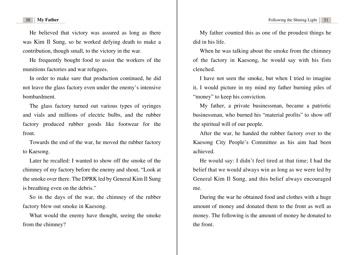He believed that victory was assured as long as there was Kim Il Sung, so he worked defying death to make a contribution, though small, to the victory in the war.

He frequently bought food to assist the workers of the munitions factories and war refugees.

In order to make sure that production continued, he did not leave the glass factory even under the enemy's intensive bombardment.

The glass factory turned out various types of syringes and vials and millions of electric bulbs, and the rubber factory produced rubber goods like footwear for the front.

Towards the end of the war, he moved the rubber factory to Kaesong.

Later he recalled: I wanted to show off the smoke of the chimney of my factory before the enemy and shout, "Look at the smoke over there. The DPRK led by General Kim Il Sung is breathing even on the debris."

So in the days of the war, the chimney of the rubber factory blew out smoke in Kaesong.

What would the enemy have thought, seeing the smoke from the chimney?

My father counted this as one of the proudest things he did in his life.

When he was talking about the smoke from the chimney of the factory in Kaesong, he would say with his fists clenched.

I have not seen the smoke, but when I tried to imagine it, I would picture in my mind my father burning piles of "money" to keep his conviction.

My father, a private businessman, became a patriotic businessman, who burned his "material profits" to show off the spiritual will of our people.

After the war, he handed the rubber factory over to the Kaesong City People's Committee as his aim had been achieved.

He would say: I didn't feel tired at that time; I had the belief that we would always win as long as we were led by General Kim Il Sung, and this belief always encouraged me.

During the war he obtained food and clothes with a huge amount of money and donated them to the front as well as money. The following is the amount of money he donated to the front.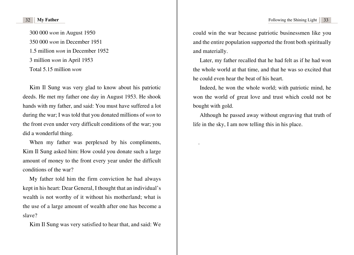300 000 *won* in August 1950 350 000 *won* in December 1951 1.5 million *won* in December 1952 3 million *won* in April 1953 Total 5.15 million *won*

Kim Il Sung was very glad to know about his patriotic deeds. He met my father one day in August 1953. He shook hands with my father, and said: You must have suffered a lot during the war; I was told that you donated millions of *won* to the front even under very difficult conditions of the war; you did a wonderful thing.

When my father was perplexed by his compliments, Kim Il Sung asked him: How could you donate such a large amount of money to the front every year under the difficult conditions of the war?

My father told him the firm conviction he had always kept in his heart: Dear General, I thought that an individual's wealth is not worthy of it without his motherland; what is the use of a large amount of wealth after one has become a slave?

Kim Il Sung was very satisfied to hear that, and said: We

could win the war because patriotic businessmen like you and the entire population supported the front both spiritually and materially.

Later, my father recalled that he had felt as if he had won the whole world at that time, and that he was so excited that he could even hear the beat of his heart.

Indeed, he won the whole world; with patriotic mind, he won the world of great love and trust which could not be bought with gold.

Although he passed away without engraving that truth of life in the sky, I am now telling this in his place.

.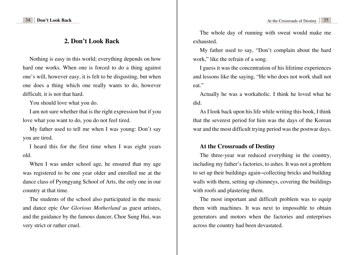## **[2. Don't Look Back](#page-3-0)**

<span id="page-19-0"></span>Nothing is easy in this world; everything depends on how hard one works. When one is forced to do a thing against one's will, however easy, it is felt to be disgusting, but when one does a thing which one really wants to do, however difficult, it is not that hard.

You should love what you do.

I am not sure whether that is the right expression but if you love what you want to do, you do not feel tired.

My father used to tell me when I was young: Don't say you are tired.

I heard this for the first time when I was eight years old.

When I was under school age, he ensured that my age was registered to be one year older and enrolled me at the dance class of Pyongyang School of Arts, the only one in our country at that time.

The students of the school also participated in the music and dance epic *Our Glorious Motherland* as guest artistes, and the guidance by the famous dancer, Choe Sung Hui, was very strict or rather cruel.

The whole day of running with sweat would make me exhausted.

My father used to say, "Don't complain about the hard work," like the refrain of a song.

I guess it was the concentration of his lifetime experiences and lessons like the saying, "He who does not work shall not eat."

Actually he was a workaholic. I think he loved what he did.

As I look back upon his life while writing this book, I think that the severest period for him was the days of the Korean war and the most difficult trying period was the postwar days.

### **[At the Crossroads of Destiny](#page-3-0)**

The three-year war reduced everything in the country, including my father's factories, to ashes. It was not a problem to set up their buildings again−collecting bricks and building walls with them, setting up chimneys, covering the buildings with roofs and plastering them.

The most important and difficult problem was to equip them with machines. It was next to impossible to obtain generators and motors when the factories and enterprises across the country had been devastated.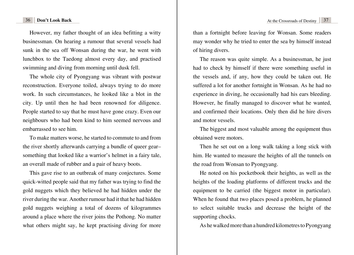### **36 Don't Look Back CONSERVING At the Crossroads of Destiny 37**

However, my father thought of an idea befitting a witty businessman. On hearing a rumour that several vessels had sunk in the sea off Wonsan during the war, he went with lunchbox to the Taedong almost every day, and practised swimming and diving from morning until dusk fell.

The whole city of Pyongyang was vibrant with postwar reconstruction. Everyone toiled, always trying to do more work. In such circumstances, he looked like a blot in the city. Up until then he had been renowned for diligence. People started to say that he must have gone crazy. Even our neighbours who had been kind to him seemed nervous and embarrassed to see him.

To make matters worse, he started to commute to and from the river shortly afterwards carrying a bundle of queer gear– something that looked like a warrior's helmet in a fairy tale, an overall made of rubber and a pair of heavy boots.

This gave rise to an outbreak of many conjectures. Some quick-witted people said that my father was trying to find the gold nuggets which they believed he had hidden under the river during the war. Another rumour had it that he had hidden gold nuggets weighing a total of dozens of kilogrammes around a place where the river joins the Pothong. No matter what others might say, he kept practising diving for more

than a fortnight before leaving for Wonsan. Some readers may wonder why he tried to enter the sea by himself instead of hiring divers.

The reason was quite simple. As a businessman, he just had to check by himself if there were something useful in the vessels and, if any, how they could be taken out. He suffered a lot for another fortnight in Wonsan. As he had no experience in diving, he occasionally had his ears bleeding. However, he finally managed to discover what he wanted, and confirmed their locations. Only then did he hire divers and motor vessels.

The biggest and most valuable among the equipment thus obtained were motors.

Then he set out on a long walk taking a long stick with him. He wanted to measure the heights of all the tunnels on the road from Wonsan to Pyongyang.

He noted on his pocketbook their heights, as well as the heights of the loading platforms of different trucks and the equipment to be carried (the biggest motor in particular). When he found that two places posed a problem, he planned to select suitable trucks and decrease the height of the supporting chocks.

As he walked more than a hundred kilometres to Pyongyang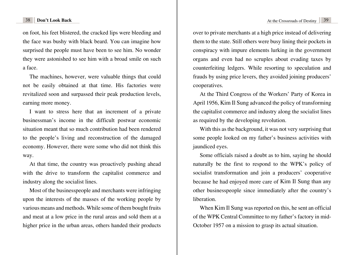### **38 Don't Look Back Crossroads of Destiny 39 At the Crossroads of Destiny 39**

on foot, his feet blistered, the cracked lips were bleeding and the face was bushy with black beard. You can imagine how surprised the people must have been to see him. No wonder they were astonished to see him with a broad smile on such a face.

The machines, however, were valuable things that could not be easily obtained at that time. His factories were revitalized soon and surpassed their peak production levels, earning more money.

I want to stress here that an increment of a private businessman's income in the difficult postwar economic situation meant that so much contribution had been rendered to the people's living and reconstruction of the damaged economy. However, there were some who did not think this way.

At that time, the country was proactively pushing ahead with the drive to transform the capitalist commerce and industry along the socialist lines.

Most of the businesspeople and merchants were infringing upon the interests of the masses of the working people by various means and methods. While some of them bought fruits and meat at a low price in the rural areas and sold them at a higher price in the urban areas, others handed their products over to private merchants at a high price instead of delivering them to the state. Still others were busy lining their pockets in conspiracy with impure elements lurking in the government organs and even had no scruples about evading taxes by counterfeiting ledgers. While resorting to speculation and frauds by using price levers, they avoided joining producers' cooperatives.

At the Third Congress of the Workers' Party of Korea in April 1956, Kim Il Sung advanced the policy of transforming the capitalist commerce and industry along the socialist lines as required by the developing revolution.

With this as the background, it was not very surprising that some people looked on my father's business activities with jaundiced eyes.

Some officials raised a doubt as to him, saying he should naturally be the first to respond to the WPK's policy of socialist transformation and join a producers' cooperative because he had enjoyed more care of Kim Il Sung than any other businesspeople since immediately after the country's liberation.

When Kim Il Sung was reported on this, he sent an official of the WPK Central Committee to my father's factory in mid-October 1957 on a mission to grasp its actual situation.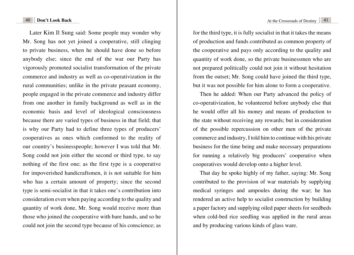Later Kim Il Sung said: Some people may wonder why Mr. Song has not yet joined a cooperative, still clinging to private business, when he should have done so before anybody else; since the end of the war our Party has vigorously promoted socialist transformation of the private commerce and industry as well as co-operativization in the rural communities; unlike in the private peasant economy, people engaged in the private commerce and industry differ from one another in family background as well as in the economic basis and level of ideological consciousness because there are varied types of business in that field; that is why our Party had to define three types of producers' cooperatives as ones which conformed to the reality of our country's businesspeople; however I was told that Mr. Song could not join either the second or third type, to say nothing of the first one; as the first type is a cooperative for impoverished handicraftsmen, it is not suitable for him who has a certain amount of property; since the second type is semi-socialist in that it takes one's contribution into consideration even when paying according to the quality and quantity of work done, Mr. Song would receive more than those who joined the cooperative with bare hands, and so he could not join the second type because of his conscience; as for the third type, it is fully socialist in that it takes the means of production and funds contributed as common property of the cooperative and pays only according to the quality and quantity of work done, so the private businessmen who are not prepared politically could not join it without hesitation from the outset; Mr. Song could have joined the third type, but it was not possible for him alone to form a cooperative.

Then he added: When our Party advanced the policy of co-operativization, he volunteered before anybody else that he would offer all his money and means of production to the state without receiving any rewards; but in consideration of the possible repercussion on other men of the private commerce and industry, I told him to continue with his private business for the time being and make necessary preparations for running a relatively big producers' cooperative when cooperatives would develop onto a higher level.

That day he spoke highly of my father, saying: Mr. Song contributed to the provision of war materials by supplying medical syringes and ampoules during the war; he has rendered an active help to socialist construction by building a paper factory and supplying oiled paper sheets for seedbeds when cold-bed rice seedling was applied in the rural areas and by producing various kinds of glass ware.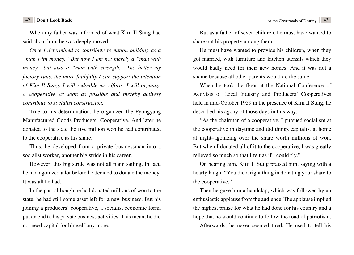### **42 Don't Look Back At the Crossroads of Destiny 43**

When my father was informed of what Kim Il Sung had said about him, he was deeply moved.

*Once I determined to contribute to nation building as a "man with money." But now I am not merely a "man with money" but also a "man with strength." The better my factory runs, the more faithfully I can support the intention of Kim Il Sung. I will redouble my efforts. I will organize a cooperative as soon as possible and thereby actively contribute to socialist construction.* 

True to his determination, he organized the Pyongyang Manufactured Goods Producers' Cooperative. And later he donated to the state the five million won he had contributed to the cooperative as his share.

Thus, he developed from a private businessman into a socialist worker, another big stride in his career.

However, this big stride was not all plain sailing. In fact, he had agonized a lot before he decided to donate the money. It was all he had.

In the past although he had donated millions of won to the state, he had still some asset left for a new business. But his joining a producers' cooperative, a socialist economic form, put an end to his private business activities. This meant he did not need capital for himself any more.

But as a father of seven children, he must have wanted to share out his property among them.

He must have wanted to provide his children, when they got married, with furniture and kitchen utensils which they would badly need for their new homes. And it was not a shame because all other parents would do the same.

When he took the floor at the National Conference of Activists of Local Industry and Producers' Cooperatives held in mid-October 1959 in the presence of Kim Il Sung, he described his agony of those days in this way:

"As the chairman of a cooperative, I pursued socialism at the cooperative in daytime and did things capitalist at home at night–agonizing over the share worth millions of won. But when I donated all of it to the cooperative, I was greatly relieved so much so that I felt as if I could fly."

On hearing him, Kim Il Sung praised him, saying with a hearty laugh: "You did a right thing in donating your share to the cooperative."

Then he gave him a handclap, which was followed by an enthusiastic applause from the audience. The applause implied the highest praise for what he had done for his country and a hope that he would continue to follow the road of patriotism. Afterwards, he never seemed tired. He used to tell his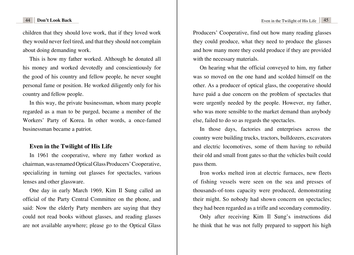children that they should love work, that if they loved work they would never feel tired, and that they should not complain about doing demanding work.

This is how my father worked. Although he donated all his money and worked devotedly and conscientiously for the good of his country and fellow people, he never sought personal fame or position. He worked diligently only for his country and fellow people.

In this way, the private businessman, whom many people regarded as a man to be purged, became a member of the Workers' Party of Korea. In other words, a once-famed businessman became a patriot.

### **[Even in the Twilight of His Life](#page-3-0)**

In 1961 the cooperative, where my father worked as chairman, was renamed Optical Glass Producers' Cooperative, specializing in turning out glasses for spectacles, various lenses and other glassware.

One day in early March 1969, Kim Il Sung called an official of the Party Central Committee on the phone, and said: Now the elderly Party members are saying that they could not read books without glasses, and reading glasses are not available anywhere; please go to the Optical Glass Producers' Cooperative, find out how many reading glasses they could produce, what they need to produce the glasses and how many more they could produce if they are provided with the necessary materials.

On hearing what the official conveyed to him, my father was so moved on the one hand and scolded himself on the other. As a producer of optical glass, the cooperative should have paid a due concern on the problem of spectacles that were urgently needed by the people. However, my father, who was more sensible to the market demand than anybody else, failed to do so as regards the spectacles.

In those days, factories and enterprises across the country were building trucks, tractors, bulldozers, excavators and electric locomotives, some of them having to rebuild their old and small front gates so that the vehicles built could pass them.

Iron works melted iron at electric furnaces, new fleets of fishing vessels were seen on the sea and presses of thousands-of-tons capacity were produced, demonstrating their might. So nobody had shown concern on spectacles; they had been regarded as a trifle and secondary commodity.

Only after receiving Kim Il Sung's instructions did he think that he was not fully prepared to support his high

<span id="page-24-0"></span>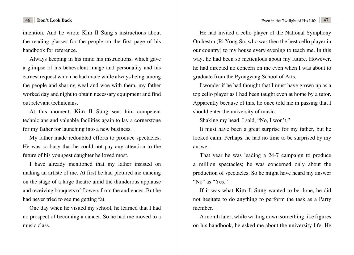intention. And he wrote Kim Il Sung's instructions about the reading glasses for the people on the first page of his handbook for reference.

Always keeping in his mind his instructions, which gave a glimpse of his benevolent image and personality and his earnest request which he had made while always being among the people and sharing weal and woe with them, my father worked day and night to obtain necessary equipment and find out relevant technicians.

At this moment, Kim Il Sung sent him competent technicians and valuable facilities again to lay a cornerstone for my father for launching into a new business.

My father made redoubled efforts to produce spectacles. He was so busy that he could not pay any attention to the future of his youngest daughter he loved most.

I have already mentioned that my father insisted on making an artiste of me. At first he had pictured me dancing on the stage of a large theatre amid the thunderous applause and receiving bouquets of flowers from the audiences. But he had never tried to see me getting fat.

One day when he visited my school, he learned that I had no prospect of becoming a dancer. So he had me moved to a music class.

He had invited a cello player of the National Symphony Orchestra (Ri Yong Su, who was then the best cello player in our country) to my house every evening to teach me. In this way, he had been so meticulous about my future. However, he had directed no concern on me even when I was about to graduate from the Pyongyang School of Arts.

I wonder if he had thought that I must have grown up as a top cello player as I had been taught even at home by a tutor. Apparently because of this, he once told me in passing that I should enter the university of music.

Shaking my head, I said, "No, I won't."

It must have been a great surprise for my father, but he looked calm. Perhaps, he had no time to be surprised by my answer.

That year he was leading a 24-7 campaign to produce a million spectacles; he was concerned only about the production of spectacles. So he might have heard my answer "No" as "Yes."

If it was what Kim Il Sung wanted to be done, he did not hesitate to do anything to perform the task as a Party member.

A month later, while writing down something like figures on his handbook, he asked me about the university life. He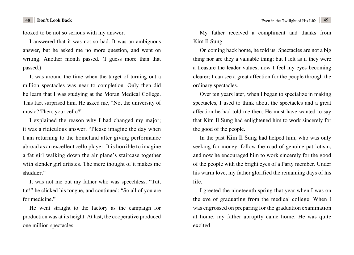looked to be not so serious with my answer.

I answered that it was not so bad. It was an ambiguous answer, but he asked me no more question, and went on writing. Another month passed. (I guess more than that passed.)

It was around the time when the target of turning out a million spectacles was near to completion. Only then did he learn that I was studying at the Moran Medical College. This fact surprised him. He asked me, "Not the university of music? Then, your cello?"

I explained the reason why I had changed my major; it was a ridiculous answer. "Please imagine the day when I am returning to the homeland after giving performance abroad as an excellent cello player. It is horrible to imagine a fat girl walking down the air plane's staircase together with slender girl artistes. The mere thought of it makes me shudder."

It was not me but my father who was speechless. "Tut, tut!" he clicked his tongue, and continued: "So all of you are for medicine."

He went straight to the factory as the campaign for production was at its height. At last, the cooperative produced one million spectacles.

My father received a compliment and thanks from Kim Il Sung.

On coming back home, he told us: Spectacles are not a big thing nor are they a valuable thing; but I felt as if they were a treasure the leader values; now I feel my eyes becoming clearer; I can see a great affection for the people through the ordinary spectacles.

Over ten years later, when I began to specialize in making spectacles, I used to think about the spectacles and a great affection he had told me then. He must have wanted to say that Kim Il Sung had enlightened him to work sincerely for the good of the people.

In the past Kim Il Sung had helped him, who was only seeking for money, follow the road of genuine patriotism, and now he encouraged him to work sincerely for the good of the people with the bright eyes of a Party member. Under his warm love, my father glorified the remaining days of his life.

I greeted the nineteenth spring that year when I was on the eve of graduating from the medical college. When I was engrossed on preparing for the graduation examination at home, my father abruptly came home. He was quite excited.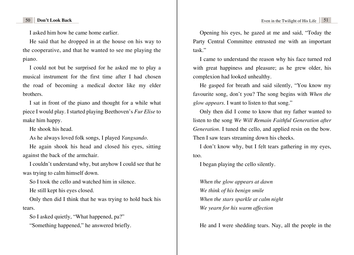I asked him how he came home earlier.

He said that he dropped in at the house on his way to the cooperative, and that he wanted to see me playing the piano.

I could not but be surprised for he asked me to play a musical instrument for the first time after I had chosen the road of becoming a medical doctor like my elder brothers.

I sat in front of the piano and thought for a while what piece I would play. I started playing Beethoven's *Fur Elise* to make him happy.

He shook his head.

As he always loved folk songs, I played *Yangsando*.

He again shook his head and closed his eyes, sitting against the back of the armchair.

I couldn't understand why, but anyhow I could see that he was trying to calm himself down.

So I took the cello and watched him in silence.

He still kept his eyes closed.

Only then did I think that he was trying to hold back his tears.

So I asked quietly, "What happened, pa?" "Something happened," he answered briefly.

Opening his eyes, he gazed at me and said, "Today the Party Central Committee entrusted me with an important task."

I came to understand the reason why his face turned red with great happiness and pleasure; as he grew older, his complexion had looked unhealthy.

He gasped for breath and said silently, "You know my favourite song, don't you? The song begins with *When the glow appears*. I want to listen to that song."

Only then did I come to know that my father wanted to listen to the song *We Will Remain Faithful Generation after Generation*. I tuned the cello, and applied resin on the bow. Then I saw tears streaming down his cheeks.

I don't know why, but I felt tears gathering in my eyes, too.

I began playing the cello silently.

*When the glow appears at dawn We think of his benign smile When the stars sparkle at calm night We yearn for his warm affection*

He and I were shedding tears. Nay, all the people in the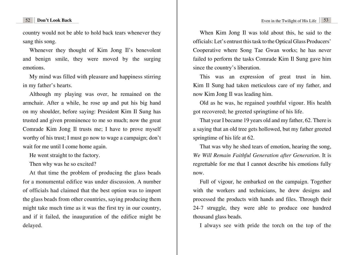country would not be able to hold back tears whenever they sang this song.

Whenever they thought of Kim Jong Il's benevolent and benign smile, they were moved by the surging emotions.

My mind was filled with pleasure and happiness stirring in my father's hearts.

Although my playing was over, he remained on the armchair. After a while, he rose up and put his big hand on my shoulder, before saying: President Kim Il Sung has trusted and given prominence to me so much; now the great Comrade Kim Jong Il trusts me; I have to prove myself worthy of his trust; I must go now to wage a campaign; don't wait for me until I come home again.

He went straight to the factory.

Then why was he so excited?

At that time the problem of producing the glass beads for a monumental edifice was under discussion. A number of officials had claimed that the best option was to import the glass beads from other countries, saying producing them might take much time as it was the first try in our country, and if it failed, the inauguration of the edifice might be delayed.

When Kim Jong Il was told about this, he said to the officials: Let's entrust this task to the Optical Glass Producers' Cooperative where Song Tae Gwan works; he has never failed to perform the tasks Comrade Kim Il Sung gave him since the country's liberation.

This was an expression of great trust in him. Kim Il Sung had taken meticulous care of my father, and now Kim Jong Il was leading him.

Old as he was, he regained youthful vigour. His health got recovered; he greeted springtime of his life.

That year I became 19 years old and my father, 62. There is a saying that an old tree gets hollowed, but my father greeted springtime of his life at 62.

That was why he shed tears of emotion, hearing the song, *We Will Remain Faithful Generation after Generation*. It is regrettable for me that I cannot describe his emotions fully now.

Full of vigour, he embarked on the campaign. Together with the workers and technicians, he drew designs and processed the products with hands and files. Through their 24-7 struggle, they were able to produce one hundred thousand glass beads.

I always see with pride the torch on the top of the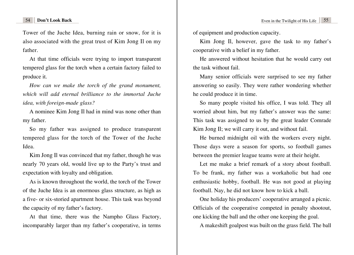Tower of the Juche Idea, burning rain or snow, for it is also associated with the great trust of Kim Jong Il on my father.

At that time officials were trying to import transparent tempered glass for the torch when a certain factory failed to produce it.

*How can we make the torch of the grand monument, which will add eternal brilliance to the immortal Juche idea, with foreign-made glass?*

A nominee Kim Jong Il had in mind was none other than my father.

So my father was assigned to produce transparent tempered glass for the torch of the Tower of the Juche Idea.

Kim Jong Il was convinced that my father, though he was nearly 70 years old, would live up to the Party's trust and expectation with loyalty and obligation.

As is known throughout the world, the torch of the Tower of the Juche Idea is an enormous glass structure, as high as a five- or six-storied apartment house. This task was beyond the capacity of my father's factory.

At that time, there was the Nampho Glass Factory, incomparably larger than my father's cooperative, in terms of equipment and production capacity.

Kim Jong Il, however, gave the task to my father's cooperative with a belief in my father.

He answered without hesitation that he would carry out the task without fail.

Many senior officials were surprised to see my father answering so easily. They were rather wondering whether he could produce it in time.

So many people visited his office, I was told. They all worried about him, but my father's answer was the same: This task was assigned to us by the great leader Comrade Kim Jong Il; we will carry it out, and without fail.

He burned midnight oil with the workers every night. Those days were a season for sports, so football games between the premier league teams were at their height.

Let me make a brief remark of a story about football. To be frank, my father was a workaholic but had one enthusiastic hobby, football. He was not good at playing football. Nay, he did not know how to kick a ball.

One holiday his producers' cooperative arranged a picnic. Officials of the cooperative competed in penalty shootout, one kicking the ball and the other one keeping the goal.

A makeshift goalpost was built on the grass field. The ball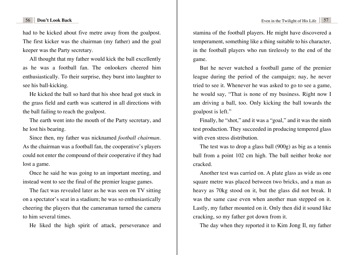had to be kicked about five metre away from the goalpost. The first kicker was the chairman (my father) and the goal keeper was the Party secretary.

All thought that my father would kick the ball excellently as he was a football fan. The onlookers cheered him enthusiastically. To their surprise, they burst into laughter to see his ball-kicking.

He kicked the ball so hard that his shoe head got stuck in the grass field and earth was scattered in all directions with the ball failing to reach the goalpost.

The earth went into the mouth of the Party secretary, and he lost his bearing.

Since then, my father was nicknamed *football chairman*. As the chairman was a football fan, the cooperative's players could not enter the compound of their cooperative if they had lost a game.

Once he said he was going to an important meeting, and instead went to see the final of the premier league games.

The fact was revealed later as he was seen on TV sitting on a spectator's seat in a stadium; he was so enthusiastically cheering the players that the cameraman turned the camera to him several times.

He liked the high spirit of attack, perseverance and

stamina of the football players. He might have discovered a temperament, something like a thing suitable to his character, in the football players who run tirelessly to the end of the game.

But he never watched a football game of the premier league during the period of the campaign; nay, he never tried to see it. Whenever he was asked to go to see a game, he would say, "That is none of my business. Right now I am driving a ball, too. Only kicking the ball towards the goalpost is left."

Finally, he "shot," and it was a "goal," and it was the ninth test production. They succeeded in producing tempered glass with even stress distribution.

The test was to drop a glass ball (900g) as big as a tennis ball from a point 102 cm high. The ball neither broke nor cracked.

Another test was carried on. A plate glass as wide as one square metre was placed between two bricks, and a man as heavy as 70kg stood on it, but the glass did not break. It was the same case even when another man stepped on it. Lastly, my father mounted on it. Only then did it sound like cracking, so my father got down from it.

The day when they reported it to Kim Jong Il, my father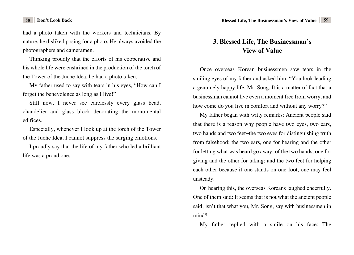<span id="page-31-0"></span>58 **Don't Look Back Blessed Life, The Businessman's View of Value** 59

had a photo taken with the workers and technicians. By nature, he disliked posing for a photo. He always avoided the photographers and cameramen.

Thinking proudly that the efforts of his cooperative and his whole life were enshrined in the production of the torch of the Tower of the Juche Idea, he had a photo taken.

My father used to say with tears in his eyes, "How can I forget the benevolence as long as I live!"

Still now, I never see carelessly every glass bead, chandelier and glass block decorating the monumental edifices.

Especially, whenever I look up at the torch of the Tower of the Juche Idea, I cannot suppress the surging emotions.

I proudly say that the life of my father who led a brilliant life was a proud one.

# **[3. Blessed Life, The Businessman's](#page-3-0)  View of Value**

Once overseas Korean businessmen saw tears in the smiling eyes of my father and asked him, "You look leading a genuinely happy life, Mr. Song. It is a matter of fact that a businessman cannot live even a moment free from worry, and how come do you live in comfort and without any worry?"

My father began with witty remarks: Ancient people said that there is a reason why people have two eyes, two ears, two hands and two feet−the two eyes for distinguishing truth from falsehood; the two ears, one for hearing and the other for letting what was heard go away; of the two hands, one for giving and the other for taking; and the two feet for helping each other because if one stands on one foot, one may feel unsteady.

On hearing this, the overseas Koreans laughed cheerfully. One of them said: It seems that is not what the ancient people said; isn't that what you, Mr. Song, say with businessmen in mind?

My father replied with a smile on his face: The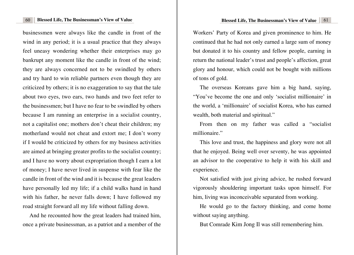businessmen were always like the candle in front of the wind in any period; it is a usual practice that they always feel uneasy wondering whether their enterprises may go bankrupt any moment like the candle in front of the wind; they are always concerned not to be swindled by others and try hard to win reliable partners even though they are criticized by others; it is no exaggeration to say that the tale about two eyes, two ears, two hands and two feet refer to the businessmen; but I have no fear to be swindled by others because I am running an enterprise in a socialist country, not a capitalist one; mothers don't cheat their children; my motherland would not cheat and extort me; I don't worry if I would be criticized by others for my business activities are aimed at bringing greater profits to the socialist country; and I have no worry about expropriation though I earn a lot of money; I have never lived in suspense with fear like the candle in front of the wind and it is because the great leaders have personally led my life; if a child walks hand in hand with his father, he never falls down; I have followed my road straight forward all my life without falling down.

And he recounted how the great leaders had trained him, once a private businessman, as a patriot and a member of the Workers' Party of Korea and given prominence to him. He continued that he had not only earned a large sum of money but donated it to his country and fellow people, earning in return the national leader's trust and people's affection, great glory and honour, which could not be bought with millions of tons of gold.

The overseas Koreans gave him a big hand, saying, "You've become the one and only 'socialist millionaire' in the world, a 'millionaire' of socialist Korea, who has earned wealth, both material and spiritual."

From then on my father was called a "socialist millionaire."

This love and trust, the happiness and glory were not all that he enjoyed. Being well over seventy, he was appointed an advisor to the cooperative to help it with his skill and experience.

Not satisfied with just giving advice, he rushed forward vigorously shouldering important tasks upon himself. For him, living was inconceivable separated from working.

He would go to the factory thinking, and come home without saying anything.

But Comrade Kim Jong Il was still remembering him.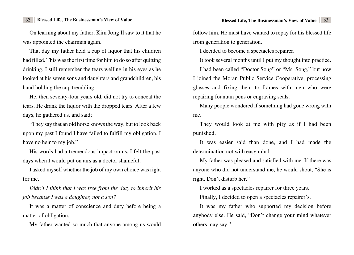### 62 **Blessed Life, The Businessman's View of Value Blessed Life, The Businessman's View of Value** 63

On learning about my father, Kim Jong Il saw to it that he was appointed the chairman again.

That day my father held a cup of liquor that his children had filled. This was the first time for him to do so after quitting drinking. I still remember the tears welling in his eyes as he looked at his seven sons and daughters and grandchildren, his hand holding the cup trembling.

He, then seventy-four years old, did not try to conceal the tears. He drank the liquor with the dropped tears. After a few days, he gathered us, and said;

"They say that an old horse knows the way, but to look back upon my past I found I have failed to fulfill my obligation. I have no heir to my job."

His words had a tremendous impact on us. I felt the past days when I would put on airs as a doctor shameful.

I asked myself whether the job of my own choice was right for me.

*Didn't I think that I was free from the duty to inherit his job because I was a daughter, not a son?* 

It was a matter of conscience and duty before being a matter of obligation.

My father wanted so much that anyone among us would

follow him. He must have wanted to repay for his blessed life from generation to generation.

I decided to become a spectacles repairer.

It took several months until I put my thought into practice. I had been called "Doctor Song" or "Ms. Song," but now I joined the Moran Public Service Cooperative, processing glasses and fixing them to frames with men who were repairing fountain pens or engraving seals.

Many people wondered if something had gone wrong with me.

They would look at me with pity as if I had been punished.

It was easier said than done, and I had made the determination not with easy mind.

My father was pleased and satisfied with me. If there was anyone who did not understand me, he would shout, "She is right. Don't disturb her."

I worked as a spectacles repairer for three years.

Finally, I decided to open a spectacles repairer's.

It was my father who supported my decision before anybody else. He said, "Don't change your mind whatever others may say."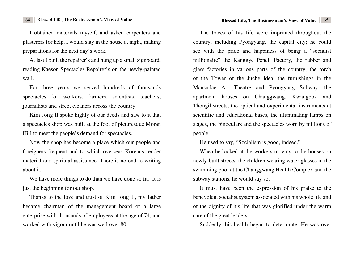I obtained materials myself, and asked carpenters and plasterers for help. I would stay in the house at night, making preparations for the next day's work.

At last I built the repairer's and hung up a small signboard, reading Kaeson Spectacles Repairer's on the newly-painted wall.

For three years we served hundreds of thousands spectacles for workers, farmers, scientists, teachers, journalists and street cleaners across the country.

Kim Jong Il spoke highly of our deeds and saw to it that a spectacles shop was built at the foot of picturesque Moran Hill to meet the people's demand for spectacles.

Now the shop has become a place which our people and foreigners frequent and to which overseas Koreans render material and spiritual assistance. There is no end to writing about it.

We have more things to do than we have done so far. It is just the beginning for our shop.

Thanks to the love and trust of Kim Jong Il, my father became chairman of the management board of a large enterprise with thousands of employees at the age of 74, and worked with vigour until he was well over 80.

The traces of his life were imprinted throughout the country, including Pyongyang, the capital city; he could see with the pride and happiness of being a "socialist millionaire" the Kanggye Pencil Factory, the rubber and glass factories in various parts of the country, the torch of the Tower of the Juche Idea, the furnishings in the Mansudae Art Theatre and Pyongyang Subway, the apartment houses on Changgwang, Kwangbok and Thongil streets, the optical and experimental instruments at scientific and educational bases, the illuminating lamps on stages, the binoculars and the spectacles worn by millions of people.

He used to say, "Socialism is good, indeed."

When he looked at the workers moving to the houses on newly-built streets, the children wearing water glasses in the swimming pool at the Changgwang Health Complex and the subway stations, he would say so.

It must have been the expression of his praise to the benevolent socialist system associated with his whole life and of the dignity of his life that was glorified under the warm care of the great leaders.

Suddenly, his health began to deteriorate. He was over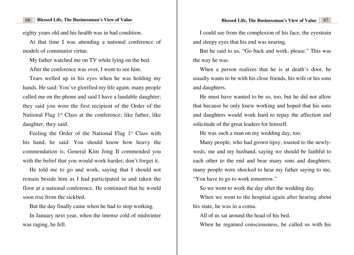eighty years old and his health was in bad condition.

At that time I was attending a national conference of models of communist virtue.

My father watched me on TV while lying on the bed.

After the conference was over, I went to see him.

Tears welled up in his eyes when he was holding my hands. He said: You've glorified my life again; many people called me on the phone and said I have a laudable daughter; they said you were the first recipient of the Order of the National Flag  $1<sup>st</sup>$  Class at the conference; like father, like daughter, they said.

Feeling the Order of the National Flag  $1<sup>st</sup>$  Class with his hand, he said: You should know how heavy the commendation is; General Kim Jong Il commended you with the belief that you would work harder; don't forget it.

He told me to go and work, saying that I should not remain beside him as I had participated in and taken the floor at a national conference. He continued that he would soon rise from the sickbed.

But the day finally came when he had to stop working.

In January next year, when the intense cold of midwinter was raging, he fell.

I could see from the complexion of his face, the eyestrain and sleepy eyes that his end was nearing.

But he said to us, "Go back and work, please." This was the way he was.

When a person realizes that he is at death's door, he usually wants to be with his close friends, his wife or his sons and daughters.

He must have wanted to be so, too, but he did not allow that because he only knew working and hoped that his sons and daughters would work hard to repay the affection and solicitude of the great leaders for himself.

He was such a man on my wedding day, too.

Many people, who had grown tipsy, toasted to the newlyweds, me and my husband, saying we should be faithful to each other to the end and bear many sons and daughters; many people were shocked to hear my father saying to me, "You have to go to work tomorrow."

So we went to work the day after the wedding day.

When we went to the hospital again after hearing about his state, he was in a coma.

All of us sat around the head of his bed.

When he regained consciousness, he called us with his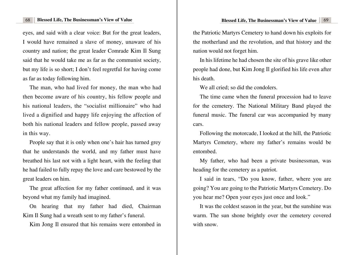eyes, and said with a clear voice: But for the great leaders, I would have remained a slave of money, unaware of his country and nation; the great leader Comrade Kim Il Sung said that he would take me as far as the communist society, but my life is so short; I don't feel regretful for having come as far as today following him.

The man, who had lived for money, the man who had then become aware of his country, his fellow people and his national leaders, the "socialist millionaire" who had lived a dignified and happy life enjoying the affection of both his national leaders and fellow people, passed away in this way.

People say that it is only when one's hair has turned grey that he understands the world, and my father must have breathed his last not with a light heart, with the feeling that he had failed to fully repay the love and care bestowed by the great leaders on him.

The great affection for my father continued, and it was beyond what my family had imagined.

On hearing that my father had died, Chairman Kim Il Sung had a wreath sent to my father's funeral.

Kim Jong Il ensured that his remains were entombed in

the Patriotic Martyrs Cemetery to hand down his exploits for the motherland and the revolution, and that history and the nation would not forget him.

In his lifetime he had chosen the site of his grave like other people had done, but Kim Jong Il glorified his life even after his death.

We all cried; so did the condolers.

The time came when the funeral procession had to leave for the cemetery. The National Military Band played the funeral music. The funeral car was accompanied by many cars.

Following the motorcade, I looked at the hill, the Patriotic Martyrs Cemetery, where my father's remains would be entombed.

My father, who had been a private businessman, was heading for the cemetery as a patriot.

I said in tears, "Do you know, father, where you are going? You are going to the Patriotic Martyrs Cemetery. Do you hear me? Open your eyes just once and look."

It was the coldest season in the year, but the sunshine was warm. The sun shone brightly over the cemetery covered with snow.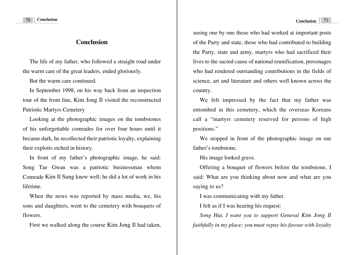### **[Conclusion](#page-3-0)**

<span id="page-37-0"></span>The life of my father, who followed a straight road under the warm care of the great leaders, ended gloriously.

But the warm care continued.

In September 1998, on his way back from an inspection tour of the front line, Kim Jong Il visited the reconstructed Patriotic Martyrs Cemetery

Looking at the photographic images on the tombstones of his unforgettable comrades for over four hours until it became dark, he recollected their patriotic loyalty, explaining their exploits etched in history.

In front of my father's photographic image, he said: Song Tae Gwan was a patriotic businessman whom Comrade Kim Il Sung knew well; he did a lot of work in his lifetime.

When the news was reported by mass media, we, his sons and daughters, went to the cemetery with bouquets of flowers.

First we walked along the course Kim Jong Il had taken,

seeing one by one those who had worked at important posts of the Party and state, those who had contributed to building the Party, state and army, martyrs who had sacrificed their lives to the sacred cause of national reunification, personages who had rendered outstanding contributions in the fields of science, art and literature and others well known across the country.

We felt impressed by the fact that my father was entombed in this cemetery, which the overseas Koreans call a "martyrs cemetery reserved for persons of high positions."

We stopped in front of the photographic image on our father's tombstone.

His image looked grave.

Offering a bouquet of flowers before the tombstone, I said: What are you thinking about now and what are you saying to us?

I was communicating with my father.

I felt as if I was hearing his request:

*Song Hui, I want you to support General Kim Jong Il faithfully in my place; you must repay his favour with loyalty*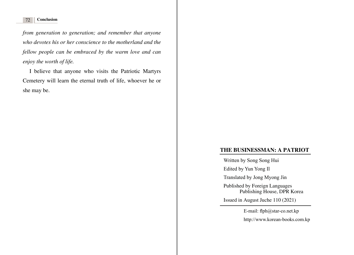*from generation to generation; and remember that anyone who devotes his or her conscience to the motherland and the fellow people can be embraced by the warm love and can enjoy the worth of life.*

I believe that anyone who visits the Patriotic Martyrs Cemetery will learn the eternal truth of life, whoever he or she may be.

### **THE BUSINESSMAN: A PATRIOT**

Written by Song Song Hui

Edited by Yun Yong Il

Translated by Jong Myong Jin

Published by Foreign Languages Publishing House, DPR Korea

Issued in August Juche 110 (2021)

E-mail: flph@star-co.net.kp http://www.korean-books.com.kp